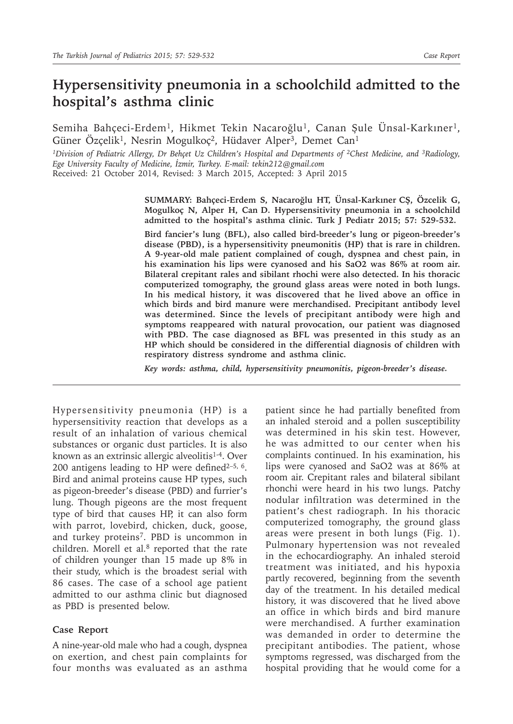## **Hypersensitivity pneumonia in a schoolchild admitted to the hospital's asthma clinic**

Semiha Bahçeci-Erdem<sup>1</sup>, Hikmet Tekin Nacaroğlu<sup>1</sup>, Canan Şule Ünsal-Karkıner<sup>1</sup>, Güner Özçelik<sup>1</sup>, Nesrin Mogulkoç<sup>2</sup>, Hüdaver Alper<sup>3</sup>, Demet Can<sup>1</sup>

*<sup>1</sup>Division of Pediatric Allergy, Dr Behçet Uz Children's Hospital and Departments of <sup>2</sup><i>Chest Medicine, and <sup>3</sup>Radiology, Ege University Faculty of Medicine, İzmir, Turkey. E-mail: tekin212@gmail.com* Received: 21 October 2014, Revised: 3 March 2015, Accepted: 3 April 2015

**SUMMARY: Bahçeci-Erdem S, Nacaroğlu HT, Ünsal-Karkıner CŞ, Özcelik G, Mogulkoç N, Alper H, Can D. Hypersensitivity pneumonia in a schoolchild admitted to the hospital's asthma clinic. Turk J Pediatr 2015; 57: 529-532.**

**Bird fancier's lung (BFL), also called bird-breeder's lung or pigeon-breeder's disease (PBD), is a hypersensitivity pneumonitis (HP) that is rare in children. A 9-year-old male patient complained of cough, dyspnea and chest pain, in his examination his lips were cyanosed and his SaO2 was 86% at room air. Bilateral crepitant rales and sibilant rhochi were also detected. In his thoracic computerized tomography, the ground glass areas were noted in both lungs. In his medical history, it was discovered that he lived above an office in which birds and bird manure were merchandised. Precipitant antibody level was determined. Since the levels of precipitant antibody were high and symptoms reappeared with natural provocation, our patient was diagnosed with PBD. The case diagnosed as BFL was presented in this study as an HP which should be considered in the differential diagnosis of children with respiratory distress syndrome and asthma clinic.**

*Key words: asthma, child, hypersensitivity pneumonitis, pigeon-breeder's disease.*

Hypersensitivity pneumonia (HP) is a hypersensitivity reaction that develops as a result of an inhalation of various chemical substances or organic dust particles. It is also known as an extrinsic allergic alveolitis<sup>1-4</sup>. Over 200 antigens leading to HP were defined $2-5$ , 6. Bird and animal proteins cause HP types, such as pigeon-breeder's disease (PBD) and furrier's lung. Though pigeons are the most frequent type of bird that causes HP, it can also form with parrot, lovebird, chicken, duck, goose, and turkey proteins7. PBD is uncommon in children. Morell et al. $8$  reported that the rate of children younger than 15 made up 8% in their study, which is the broadest serial with 86 cases. The case of a school age patient admitted to our asthma clinic but diagnosed as PBD is presented below.

## **Case Report**

A nine-year-old male who had a cough, dyspnea on exertion, and chest pain complaints for four months was evaluated as an asthma

patient since he had partially benefited from an inhaled steroid and a pollen susceptibility was determined in his skin test. However, he was admitted to our center when his complaints continued. In his examination, his lips were cyanosed and SaO2 was at 86% at room air. Crepitant rales and bilateral sibilant rhonchi were heard in his two lungs. Patchy nodular infiltration was determined in the patient's chest radiograph. In his thoracic computerized tomography, the ground glass areas were present in both lungs (Fig. 1). Pulmonary hypertension was not revealed in the echocardiography. An inhaled steroid treatment was initiated, and his hypoxia partly recovered, beginning from the seventh day of the treatment. In his detailed medical history, it was discovered that he lived above an office in which birds and bird manure were merchandised. A further examination was demanded in order to determine the precipitant antibodies. The patient, whose symptoms regressed, was discharged from the hospital providing that he would come for a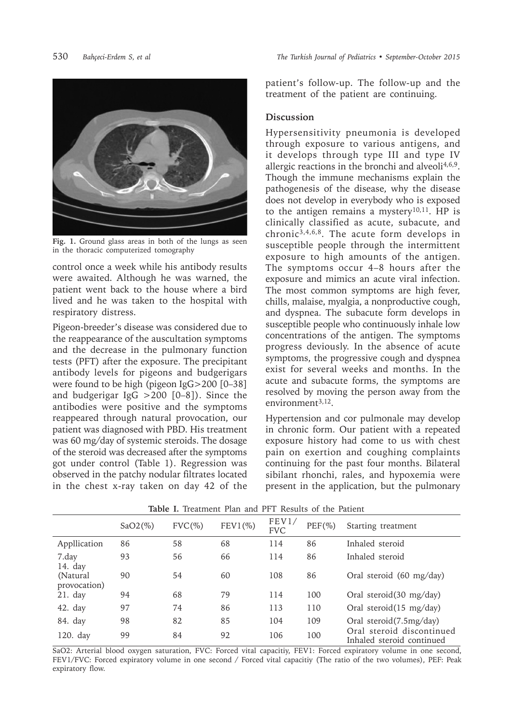

**Fig. 1.** Ground glass areas in both of the lungs as seen in the thoracic computerized tomography

control once a week while his antibody results were awaited. Although he was warned, the patient went back to the house where a bird lived and he was taken to the hospital with respiratory distress.

Pigeon-breeder's disease was considered due to the reappearance of the auscultation symptoms and the decrease in the pulmonary function tests (PFT) after the exposure. The precipitant antibody levels for pigeons and budgerigars were found to be high (pigeon IgG>200 [0–38] and budgerigar IgG >200 [0–8]). Since the antibodies were positive and the symptoms reappeared through natural provocation, our patient was diagnosed with PBD. His treatment was 60 mg/day of systemic steroids. The dosage of the steroid was decreased after the symptoms got under control (Table 1). Regression was observed in the patchy nodular filtrates located in the chest x-ray taken on day 42 of the

patient's follow-up. The follow-up and the treatment of the patient are continuing.

## **Discussion**

Hypersensitivity pneumonia is developed through exposure to various antigens, and it develops through type III and type IV allergic reactions in the bronchi and alveoli $4,6,9$ . Though the immune mechanisms explain the pathogenesis of the disease, why the disease does not develop in everybody who is exposed to the antigen remains a mystery<sup>10,11</sup>. HP is clinically classified as acute, subacute, and chronic3,4,6,8. The acute form develops in susceptible people through the intermittent exposure to high amounts of the antigen. The symptoms occur 4–8 hours after the exposure and mimics an acute viral infection. The most common symptoms are high fever, chills, malaise, myalgia, a nonproductive cough, and dyspnea. The subacute form develops in susceptible people who continuously inhale low concentrations of the antigen. The symptoms progress deviously. In the absence of acute symptoms, the progressive cough and dyspnea exist for several weeks and months. In the acute and subacute forms, the symptoms are resolved by moving the person away from the environment $3,12$ .

Hypertension and cor pulmonale may develop in chronic form. Our patient with a repeated exposure history had come to us with chest pain on exertion and coughing complaints continuing for the past four months. Bilateral sibilant rhonchi, rales, and hypoxemia were present in the application, but the pulmonary

|                           | $SaO2(\%)$ | $FVC(\%)$ | $FEV1(\%)$ | FEV1/<br><b>FVC</b> | $PEF(\%)$ | Starting treatment                                     |
|---------------------------|------------|-----------|------------|---------------------|-----------|--------------------------------------------------------|
| Appllication              | 86         | 58        | 68         | 114                 | 86        | Inhaled steroid                                        |
| 7.day<br>14. day          | 93         | 56        | 66         | 114                 | 86        | Inhaled steroid                                        |
| (Natural)<br>provocation) | 90         | 54        | 60         | 108                 | 86        | Oral steroid (60 mg/day)                               |
| $21.$ day                 | 94         | 68        | 79         | 114                 | 100       | Oral steroid $(30 \text{ mg/day})$                     |
| $42.$ day                 | 97         | 74        | 86         | 113                 | 110       | Oral steroid $(15 \text{ mg/day})$                     |
| 84. day                   | 98         | 82        | 85         | 104                 | 109       | Oral steroid(7.5mg/day)                                |
| 120. day                  | 99         | 84        | 92         | 106                 | 100       | Oral steroid discontinued<br>Inhaled steroid continued |

**Table I.** Treatment Plan and PFT Results of the Patient

SaO2: Arterial blood oxygen saturation, FVC: Forced vital capacitiy, FEV1: Forced expiratory volume in one second, FEV1/FVC: Forced expiratory volume in one second / Forced vital capacitiy (The ratio of the two volumes), PEF: Peak expiratory flow.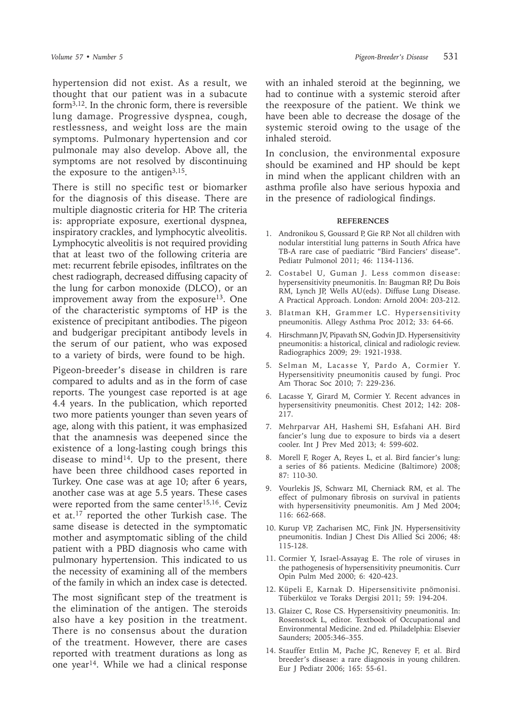hypertension did not exist. As a result, we thought that our patient was in a subacute form $3,12$ . In the chronic form, there is reversible lung damage. Progressive dyspnea, cough, restlessness, and weight loss are the main symptoms. Pulmonary hypertension and cor pulmonale may also develop. Above all, the symptoms are not resolved by discontinuing the exposure to the antigen $3,15$ .

There is still no specific test or biomarker for the diagnosis of this disease. There are multiple diagnostic criteria for HP. The criteria is: appropriate exposure, exertional dyspnea, inspiratory crackles, and lymphocytic alveolitis. Lymphocytic alveolitis is not required providing that at least two of the following criteria are met: recurrent febrile episodes, infiltrates on the chest radiograph, decreased diffusing capacity of the lung for carbon monoxide (DLCO), or an improvement away from the exposure<sup>13</sup>. One of the characteristic symptoms of HP is the existence of precipitant antibodies. The pigeon and budgerigar precipitant antibody levels in the serum of our patient, who was exposed to a variety of birds, were found to be high.

Pigeon-breeder's disease in children is rare compared to adults and as in the form of case reports. The youngest case reported is at age 4.4 years. In the publication, which reported two more patients younger than seven years of age, along with this patient, it was emphasized that the anamnesis was deepened since the existence of a long-lasting cough brings this disease to mind<sup>14</sup>. Up to the present, there have been three childhood cases reported in Turkey. One case was at age 10; after 6 years, another case was at age 5.5 years. These cases were reported from the same center<sup>15,16</sup>. Ceviz et at.17 reported the other Turkish case. The same disease is detected in the symptomatic mother and asymptomatic sibling of the child patient with a PBD diagnosis who came with pulmonary hypertension. This indicated to us the necessity of examining all of the members of the family in which an index case is detected.

The most significant step of the treatment is the elimination of the antigen. The steroids also have a key position in the treatment. There is no consensus about the duration of the treatment. However, there are cases reported with treatment durations as long as one year<sup>14</sup>. While we had a clinical response

with an inhaled steroid at the beginning, we had to continue with a systemic steroid after the reexposure of the patient. We think we have been able to decrease the dosage of the systemic steroid owing to the usage of the inhaled steroid.

In conclusion, the environmental exposure should be examined and HP should be kept in mind when the applicant children with an asthma profile also have serious hypoxia and in the presence of radiological findings.

## **REFERENCES**

- 1. Andronikou S, Goussard P, Gie RP. Not all children with nodular interstitial lung patterns in South Africa have TB-A rare case of paediatric "Bird Fanciers' disease". Pediatr Pulmonol 2011; 46: 1134-1136.
- 2. Costabel U, Guman J. Less common disease: hypersensitivity pneumonitis. In: Baugman RP, Du Bois RM, Lynch JP, Wells AU(eds). Diffuse Lung Disease. A Practical Approach. London: Arnold 2004: 203-212.
- 3. Blatman KH, Grammer LC. Hypersensitivity pneumonitis. Allegy Asthma Proc 2012; 33: 64-66.
- 4. Hirschmann JV, Pipavath SN, Godvin JD. Hypersensitivity pneumonitis: a historical, clinical and radiologic review. Radiographics 2009; 29: 1921-1938.
- 5. Selman M, Lacasse Y, Pardo A, Cormier Y. Hypersensitivity pneumonitis caused by fungi. Proc Am Thorac Soc 2010; 7: 229-236.
- 6. Lacasse Y, Girard M, Cormier Y. Recent advances in hypersensitivity pneumonitis. Chest 2012; 142: 208- 217.
- 7. Mehrparvar AH, Hashemi SH, Esfahani AH. Bird fancier's lung due to exposure to birds via a desert cooler. Int J Prev Med 2013; 4: 599-602.
- 8. Morell F, Roger A, Reyes L, et al. Bird fancier's lung: a series of 86 patients. Medicine (Baltimore) 2008; 87: 110-30.
- 9. Vourlekis JS, Schwarz MI, Cherniack RM, et al. The effect of pulmonary fibrosis on survival in patients with hypersensitivity pneumonitis. Am J Med 2004; 116: 662-668.
- 10. Kurup VP, Zacharisen MC, Fink JN. Hypersensitivity pneumonitis. Indian J Chest Dis Allied Sci 2006; 48: 115-128.
- 11. Cormier Y, Israel-Assayag E. The role of viruses in the pathogenesis of hypersensitivity pneumonitis. Curr Opin Pulm Med 2000; 6: 420-423.
- 12. Küpeli E, Karnak D. Hipersensitivite pnömonisi. Tüberküloz ve Toraks Dergisi 2011; 59: 194-204.
- 13. Glaizer C, Rose CS. Hypersensitivity pneumonitis. In: Rosenstock L, editor. Textbook of Occupational and Environmental Medicine. 2nd ed. Philadelphia: Elsevier Saunders; 2005:346–355.
- 14. Stauffer Ettlin M, Pache JC, Renevey F, et al. Bird breeder's disease: a rare diagnosis in young children. Eur J Pediatr 2006; 165: 55-61.